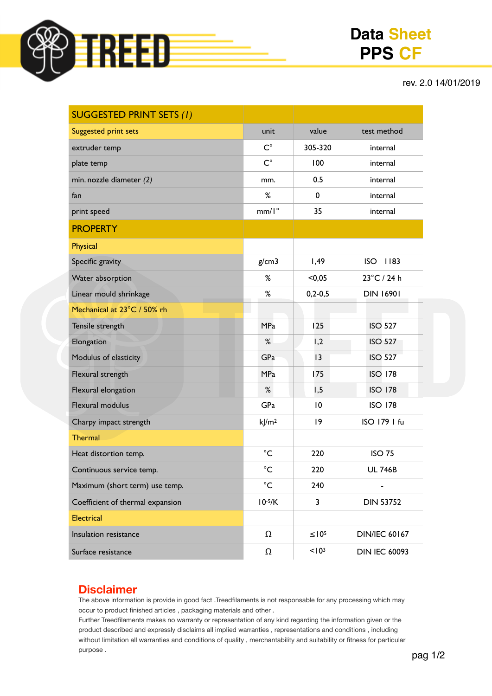

## **Data Sheet PPS CF**

rev. 2.0 14/01/2019

| <b>SUGGESTED PRINT SETS (1)</b>  |                     |                   |                      |
|----------------------------------|---------------------|-------------------|----------------------|
| <b>Suggested print sets</b>      | unit                | value             | test method          |
| extruder temp                    | $C^{\circ}$         | 305-320           | internal             |
| plate temp                       | $C^{\circ}$         | 100               | internal             |
| min. nozzle diameter (2)         | mm.                 | 0.5               | internal             |
| fan                              | %                   | 0                 | internal             |
| print speed                      | $mm/I^{\circ}$      | 35                | internal             |
| <b>PROPERTY</b>                  |                     |                   |                      |
| Physical                         |                     |                   |                      |
| Specific gravity                 | g/cm3               | 1,49              | <b>ISO</b><br>  183  |
| Water absorption                 | ℅                   | < 0.05            | 23°C / 24 h          |
| Linear mould shrinkage           | $\%$                | $0, 2 - 0, 5$     | <b>DIN 16901</b>     |
| Mechanical at 23°C / 50% rh      |                     |                   |                      |
| Tensile strength                 | <b>MPa</b>          | 125               | <b>ISO 527</b>       |
| Elongation                       | %                   | 1,2               | <b>ISO 527</b>       |
| Modulus of elasticity            | GPa                 | 13                | <b>ISO 527</b>       |
| Flexural strength                | <b>MPa</b>          | 175               | <b>ISO 178</b>       |
| Flexural elongation              | %                   | 1,5               | <b>ISO 178</b>       |
| Flexural modulus                 | GPa                 | $\overline{10}$   | <b>ISO 178</b>       |
| Charpy impact strength           | $k$ /m <sup>2</sup> | 9                 | ISO 179 I fu         |
| <b>Thermal</b>                   |                     |                   |                      |
| Heat distortion temp.            | $^{\circ}$ C        | 220               | <b>ISO 75</b>        |
| Continuous service temp.         | $^{\circ}C$         | 220               | <b>UL 746B</b>       |
| Maximum (short term) use temp.   | $^{\circ}$ C        | 240               |                      |
| Coefficient of thermal expansion | $10-5/K$            | 3                 | <b>DIN 53752</b>     |
| <b>Electrical</b>                |                     |                   |                      |
| Insulation resistance            | $\Omega$            | $\leq 10^5$       | <b>DIN/IEC 60167</b> |
| Surface resistance               | Ω                   | < 10 <sup>3</sup> | <b>DIN IEC 60093</b> |

## **Disclaimer**

The above information is provide in good fact .Treedfilaments is not responsable for any processing which may occur to product finished articles , packaging materials and other .

Further Treedfilaments makes no warranty or representation of any kind regarding the information given or the product described and expressly disclaims all implied warranties , representations and conditions , including without limitation all warranties and conditions of quality , merchantability and suitability or fitness for particular purpose .